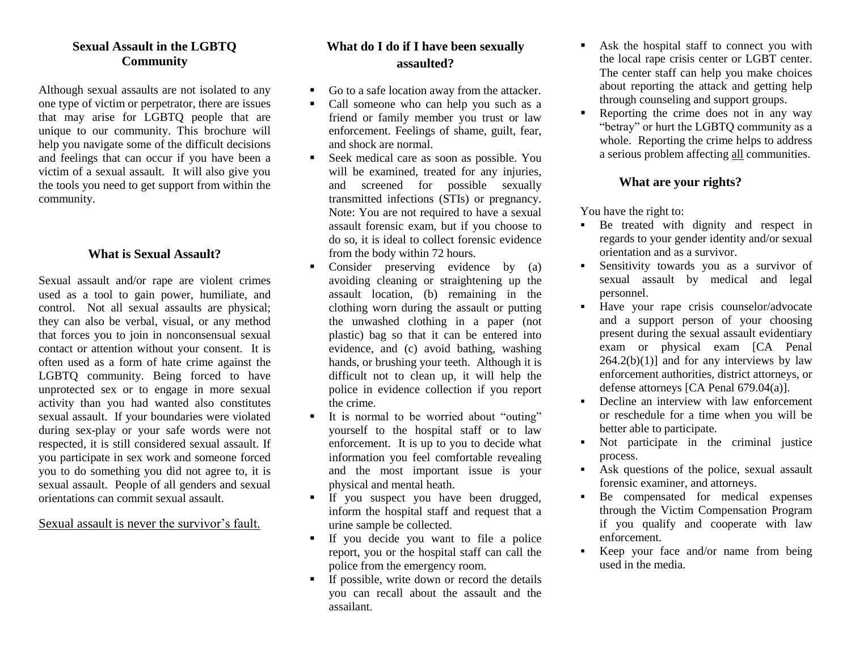#### **Sexual Assault in the LGBTQ Community**

Although sexual assaults are not isolated to any one type of victim or perpetrator, there are issues that may arise for LGBTQ people that are unique to our community. This brochure will help you navigate some of the difficult decisions and feelings that can occur if you have been a victim of a sexual assault. It will also give you the tools you need to get support from within the community.

#### **What is Sexual Assault?**

Sexual assault and/or rape are violent crimes used as a tool to gain power, humiliate, and control. Not all sexual assaults are physical; they can also be verbal, visual, or any method that forces you to join in nonconsensual sexual contact or attention without your consent. It is often used as a form of hate crime against the LGBTQ community. Being forced to have unprotected sex or to engage in more sexual activity than you had wanted also constitutes sexual assault. If your boundaries were violated during sex-play or your safe words were not respected, it is still considered sexual assault. If you participate in sex work and someone forced you to do something you did not agree to, it is sexual assault. People of all genders and sexual orientations can commit sexual assault.

Sexual assault is never the survivor's fault.

# **What do I do if I have been sexually assaulted?**

- Go to a safe location away from the attacker.
- Call someone who can help you such as a friend or family member you trust or law enforcement. Feelings of shame, guilt, fear, and shock are normal.
- Seek medical care as soon as possible. You will be examined, treated for any injuries, and screened for possible sexually transmitted infections (STIs) or pregnancy. Note: You are not required to have a sexual assault forensic exam, but if you choose to do so, it is ideal to collect forensic evidence from the body within 72 hours.
- Consider preserving evidence by (a) avoiding cleaning or straightening up the assault location, (b) remaining in the clothing worn during the assault or putting the unwashed clothing in a paper (not plastic) bag so that it can be entered into evidence, and (c) avoid bathing, washing hands, or brushing your teeth. Although it is difficult not to clean up, it will help the police in evidence collection if you report the crime.
- It is normal to be worried about "outing" yourself to the hospital staff or to law enforcement. It is up to you to decide what information you feel comfortable revealing and the most important issue is your physical and mental heath.
- If you suspect you have been drugged, inform the hospital staff and request that a urine sample be collected.
- If you decide you want to file a police report, you or the hospital staff can call the police from the emergency room.
- $\blacksquare$  If possible, write down or record the details you can recall about the assault and the assailant.
- Ask the hospital staff to connect you with the local rape crisis center or LGBT center. The center staff can help you make choices about reporting the attack and getting help through counseling and support groups.
- Reporting the crime does not in any way "betray" or hurt the LGBTQ community as a whole. Reporting the crime helps to address a serious problem affecting all communities.

### **What are your rights?**

You have the right to:

- Be treated with dignity and respect in regards to your gender identity and/or sexual orientation and as a survivor.
- Sensitivity towards you as a survivor of sexual assault by medical and legal personnel.
- Have your rape crisis counselor/advocate and a support person of your choosing present during the sexual assault evidentiary exam or physical exam [CA Penal  $264.2(b)(1)$ ] and for any interviews by law enforcement authorities, district attorneys, or defense attorneys [CA Penal 679.04(a)].
- Decline an interview with law enforcement or reschedule for a time when you will be better able to participate.
- Not participate in the criminal justice process.
- Ask questions of the police, sexual assault forensic examiner, and attorneys.
- Be compensated for medical expenses through the Victim Compensation Program if you qualify and cooperate with law enforcement.
- Keep your face and/or name from being used in the media.